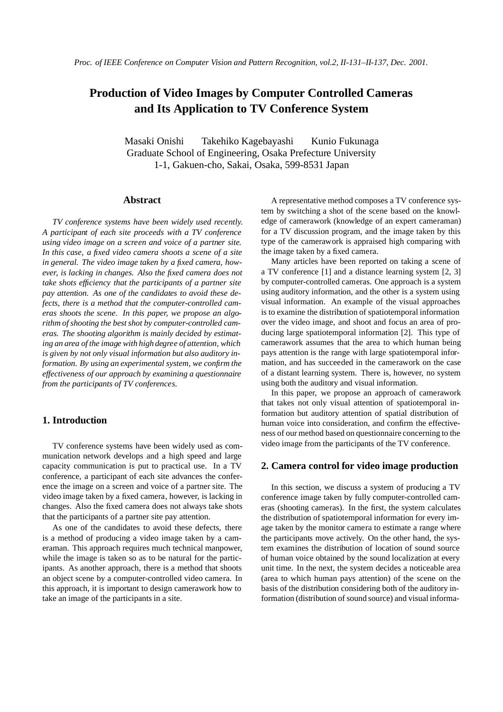# **Production of Video Images by Computer Controlled Cameras and Its Application to TV Conference System**

Masaki Onishi Takehiko Kagebayashi Kunio Fukunaga Graduate School of Engineering, Osaka Prefecture University 1-1, Gakuen-cho, Sakai, Osaka, 599-8531 Japan

# **Abstract**

*TV conference systems have been widely used recently. A participant of each site proceeds with a TV conference using video image on a screen and voice of a partner site. In this case, a fixed video camera shoots a scene of a site in general. The video image taken by a fixed camera, however, is lacking in changes. Also the fixed camera does not take shots efficiency that the participants of a partner site pay attention. As one of the candidates to avoid these defects, there is a method that the computer-controlled cameras shoots the scene. In this paper, we propose an algorithm of shooting the best shot by computer-controlled cameras. The shooting algorithm is mainly decided by estimating an area of the image with high degree of attention, which is given by not only visual information but also auditory information. By using an experimental system, we confirm the effectiveness of our approach by examining a questionnaire from the participants of TV conferences.*

# **1. Introduction**

TV conference systems have been widely used as communication network develops and a high speed and large capacity communication is put to practical use. In a TV conference, a participant of each site advances the conference the image on a screen and voice of a partner site. The video image taken by a fixed camera, however, is lacking in changes. Also the fixed camera does not always take shots that the participants of a partner site pay attention.

As one of the candidates to avoid these defects, there is a method of producing a video image taken by a cameraman. This approach requires much technical manpower, while the image is taken so as to be natural for the participants. As another approach, there is a method that shoots an object scene by a computer-controlled video camera. In this approach, it is important to design camerawork how to take an image of the participants in a site.

A representative method composes a TV conference system by switching a shot of the scene based on the knowledge of camerawork (knowledge of an expert cameraman) for a TV discussion program, and the image taken by this type of the camerawork is appraised high comparing with the image taken by a fixed camera.

Many articles have been reported on taking a scene of a TV conference [1] and a distance learning system [2, 3] by computer-controlled cameras. One approach is a system using auditory information, and the other is a system using visual information. An example of the visual approaches is to examine the distribution of spatiotemporal information over the video image, and shoot and focus an area of producing large spatiotemporal information [2]. This type of camerawork assumes that the area to which human being pays attention is the range with large spatiotemporal information, and has succeeded in the camerawork on the case of a distant learning system. There is, however, no system using both the auditory and visual information.

In this paper, we propose an approach of camerawork that takes not only visual attention of spatiotemporal information but auditory attention of spatial distribution of human voice into consideration, and confirm the effectiveness of our method based on questionnaire concerning to the video image from the participants of the TV conference.

# **2. Camera control for video image production**

In this section, we discuss a system of producing a TV conference image taken by fully computer-controlled cameras (shooting cameras). In the first, the system calculates the distribution of spatiotemporal information for every image taken by the monitor camera to estimate a range where the participants move actively. On the other hand, the system examines the distribution of location of sound source of human voice obtained by the sound localization at every unit time. In the next, the system decides a noticeable area (area to which human pays attention) of the scene on the basis of the distribution considering both of the auditory information (distribution of sound source) and visual informa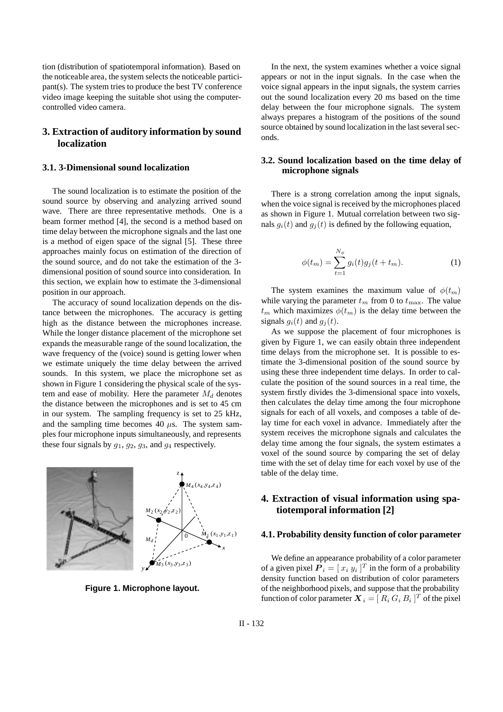tion (distribution of spatiotemporal information). Based on the noticeable area, the system selects the noticeable participant(s). The system tries to produce the best TV conference video image keeping the suitable shot using the computercontrolled video camera.

# **3. Extraction of auditory information by sound localization**

### **3.1. 3-Dimensional sound localization**

The sound localization is to estimate the position of the sound source by observing and analyzing arrived sound wave. There are three representative methods. One is a beam former method [4], the second is a method based on time delay between the microphone signals and the last one is a method of eigen space of the signal [5]. These three approaches mainly focus on estimation of the direction of the sound source, and do not take the estimation of the 3 dimensional position of sound source into consideration. In this section, we explain how to estimate the 3-dimensional position in our approach.

The accuracy of sound localization depends on the distance between the microphones. The accuracy is getting high as the distance between the microphones increase. While the longer distance placement of the microphone set expands the measurable range of the sound localization, the wave frequency of the (voice) sound is getting lower when we estimate uniquely the time delay between the arrived sounds. In this system, we place the microphone set as shown in Figure 1 considering the physical scale of the system and ease of mobility. Here the parameter  $M_d$  denotes the distance between the microphones and is set to 45 cm in our system. The sampling frequency is set to 25 kHz, and the sampling time becomes 40  $\mu$ s. The system samples four microphone inputs simultaneously, and represents these four signals by  $g_1$ ,  $g_2$ ,  $g_3$ , and  $g_4$  respectively.



**Figure 1. Microphone layout.**

In the next, the system examines whether a voice signal appears or not in the input signals. In the case when the voice signal appears in the input signals, the system carries out the sound localization every 20 ms based on the time delay between the four microphone signals. The system always prepares a histogram of the positions of the sound source obtained by sound localization in the last several seconds.

### **3.2. Sound localization based on the time delay of microphone signals**

There is a strong correlation among the input signals, when the voice signal is received by the microphones placed as shown in Figure 1. Mutual correlation between two signals  $g_i(t)$  and  $g_j(t)$  is defined by the following equation,

$$
\phi(t_m) = \sum_{t=1}^{N_{\phi}} g_i(t)g_j(t+t_m).
$$
 (1)

The system examines the maximum value of  $\phi(t_m)$ while varying the parameter  $t_m$  from 0 to  $t_{\text{max}}$ . The value  $t_m$  which maximizes  $\phi(t_m)$  is the delay time between the signals  $g_i(t)$  and  $g_j(t)$ .

As we suppose the placement of four microphones is given by Figure 1, we can easily obtain three independent time delays from the microphone set. It is possible to estimate the 3-dimensional position of the sound source by using these three independent time delays. In order to calculate the position of the sound sources in a real time, the system firstly divides the 3-dimensional space into voxels, then calculates the delay time among the four microphone signals for each of all voxels, and composes a table of delay time for each voxel in advance. Immediately after the system receives the microphone signals and calculates the delay time among the four signals, the system estimates a voxel of the sound source by comparing the set of delay time with the set of delay time for each voxel by use of the table of the delay time.

# **4. Extraction of visual information using spatiotemporal information [2]**

#### **4.1. Probability density function of color parameter**

We define an appearance probability of a color parameter of a given pixel  $\hat{P}_i = [x_i y_i]^T$  in the form of a probability<br>density function based on distribution of color parameters density function based on distribution of color parameters of the neighborhood pixels, and suppose that the probability function of color parameter  $\boldsymbol{X}_i = \left[ R_i G_i B_i \right]^T$  of the pixel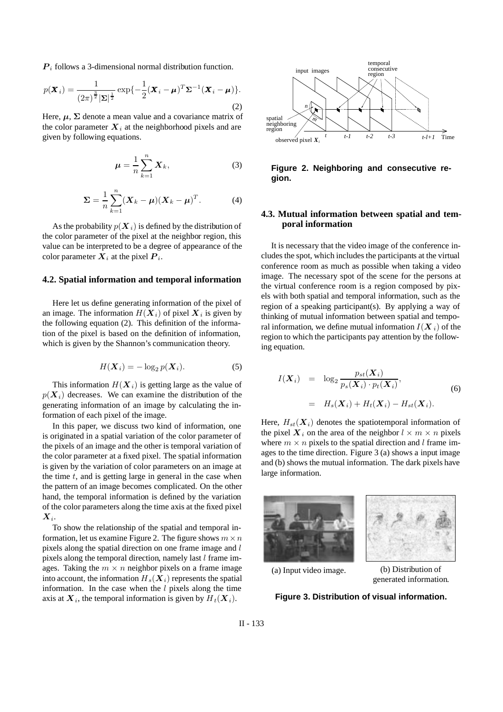*P<sup>i</sup>* follows a 3-dimensional normal distribution function.

$$
p(\boldsymbol{X}_i) = \frac{1}{(2\pi)^{\frac{3}{2}}|\boldsymbol{\Sigma}|^{\frac{1}{2}}} \exp\{-\frac{1}{2}(\boldsymbol{X}_i - \boldsymbol{\mu})^T \boldsymbol{\Sigma}^{-1}(\boldsymbol{X}_i - \boldsymbol{\mu})\}.
$$
\n(2)

Here,  $\mu$ ,  $\Sigma$  denote a mean value and a covariance matrix of the color parameter  $\boldsymbol{X}_i$  at the neighborhood pixels and are given by following equations.

$$
\mu = \frac{1}{n} \sum_{k=1}^{n} X_k,
$$
\n(3)

$$
\Sigma = \frac{1}{n} \sum_{k=1}^{n} (X_k - \mu)(X_k - \mu)^T.
$$
 (4)

As the probability  $p(\boldsymbol{X}_i)$  is defined by the distribution of the color parameter of the pixel at the neighbor region, this value can be interpreted to be a degree of appearance of the color parameter  $X_i$  at the pixel  $P_i$ .

#### **4.2. Spatial information and temporal information**

Here let us define generating information of the pixel of an image. The information  $H(X_i)$  of pixel  $X_i$  is given by the following equation (2). This definition of the information of the pixel is based on the definition of information, which is given by the Shannon's communication theory.

$$
H(\boldsymbol{X}_i) = -\log_2 p(\boldsymbol{X}_i). \tag{5}
$$

This information  $H(X_i)$  is getting large as the value of  $p(X_i)$  decreases. We can examine the distribution of the generating information of an image by calculating the information of each pixel of the image.

In this paper, we discuss two kind of information, one is originated in a spatial variation of the color parameter of the pixels of an image and the other is temporal variation of the color parameter at a fixed pixel. The spatial information is given by the variation of color parameters on an image at the time  $t$ , and is getting large in general in the case when the pattern of an image becomes complicated. On the other hand, the temporal information is defined by the variation of the color parameters along the time axis at the fixed pixel *Xi*.

To show the relationship of the spatial and temporal information, let us examine Figure 2. The figure shows  $m \times n$ pixels along the spatial direction on one frame image and l pixels along the temporal direction, namely last  $l$  frame images. Taking the  $m \times n$  neighbor pixels on a frame image into account, the information  $H_s(\boldsymbol{X}_i)$  represents the spatial information. In the case when the  $l$  pixels along the time axis at  $X_i$ , the temporal information is given by  $H_t(X_i)$ .



**Figure 2. Neighboring and consecutive region.**

# **4.3. Mutual information between spatial and temporal information**

It is necessary that the video image of the conference includes the spot, which includes the participants at the virtual conference room as much as possible when taking a video image. The necessary spot of the scene for the persons at the virtual conference room is a region composed by pixels with both spatial and temporal information, such as the region of a speaking participant(s). By applying a way of thinking of mutual information between spatial and temporal information, we define mutual information  $I(X_i)$  of the region to which the participants pay attention by the following equation.

$$
I(\boldsymbol{X}_i) = \log_2 \frac{p_{st}(\boldsymbol{X}_i)}{p_s(\boldsymbol{X}_i) \cdot p_t(\boldsymbol{X}_i)},
$$
  
=  $H_s(\boldsymbol{X}_i) + H_t(\boldsymbol{X}_i) - H_{st}(\boldsymbol{X}_i).$  (6)

Here,  $H_{st}(\boldsymbol{X}_i)$  denotes the spatiotemporal information of the pixel  $\boldsymbol{X}_i$  on the area of the neighbor  $l \times m \times n$  pixels where  $m \times n$  pixels to the spatial direction and l frame images to the time direction. Figure 3 (a) shows a input image and (b) shows the mutual information. The dark pixels have large information.





(a) Input video image. (b) Distribution of

generated information.

#### **Figure 3. Distribution of visual information.**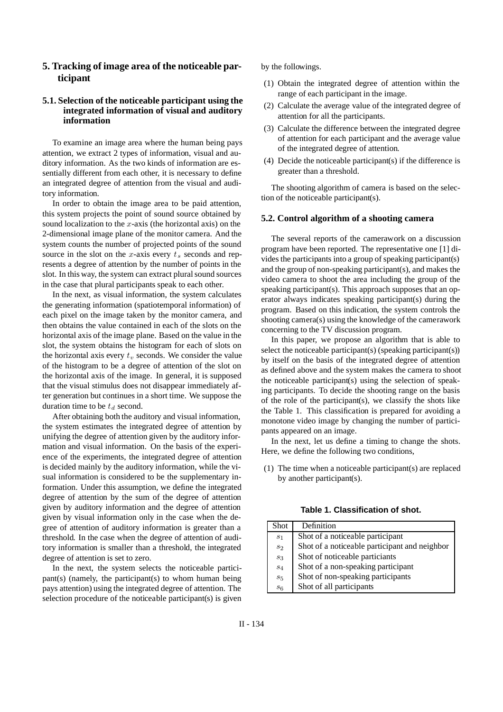# **5. Tracking of image area of the noticeable participant**

# **5.1. Selection of the noticeable participant using the integrated information of visual and auditory information**

To examine an image area where the human being pays attention, we extract 2 types of information, visual and auditory information. As the two kinds of information are essentially different from each other, it is necessary to define an integrated degree of attention from the visual and auditory information.

In order to obtain the image area to be paid attention, this system projects the point of sound source obtained by sound localization to the  $x$ -axis (the horizontal axis) on the 2-dimensional image plane of the monitor camera. And the system counts the number of projected points of the sound source in the slot on the x-axis every  $t_s$  seconds and represents a degree of attention by the number of points in the slot. In this way, the system can extract plural sound sources in the case that plural participants speak to each other.

In the next, as visual information, the system calculates the generating information (spatiotemporal information) of each pixel on the image taken by the monitor camera, and then obtains the value contained in each of the slots on the horizontal axis of the image plane. Based on the value in the slot, the system obtains the histogram for each of slots on the horizontal axis every  $t<sub>v</sub>$  seconds. We consider the value of the histogram to be a degree of attention of the slot on the horizontal axis of the image. In general, it is supposed that the visual stimulus does not disappear immediately after generation but continues in a short time. We suppose the duration time to be  $t_d$  second.

After obtaining both the auditory and visual information, the system estimates the integrated degree of attention by unifying the degree of attention given by the auditory information and visual information. On the basis of the experience of the experiments, the integrated degree of attention is decided mainly by the auditory information, while the visual information is considered to be the supplementary information. Under this assumption, we define the integrated degree of attention by the sum of the degree of attention given by auditory information and the degree of attention given by visual information only in the case when the degree of attention of auditory information is greater than a threshold. In the case when the degree of attention of auditory information is smaller than a threshold, the integrated degree of attention is set to zero.

In the next, the system selects the noticeable participant(s) (namely, the participant(s) to whom human being pays attention) using the integrated degree of attention. The selection procedure of the noticeable participant(s) is given

by the followings.

- (1) Obtain the integrated degree of attention within the range of each participant in the image.
- (2) Calculate the average value of the integrated degree of attention for all the participants.
- (3) Calculate the difference between the integrated degree of attention for each participant and the average value of the integrated degree of attention.
- (4) Decide the noticeable participant(s) if the difference is greater than a threshold.

The shooting algorithm of camera is based on the selection of the noticeable participant(s).

### **5.2. Control algorithm of a shooting camera**

The several reports of the camerawork on a discussion program have been reported. The representative one [1] divides the participants into a group of speaking participant(s) and the group of non-speaking participant(s), and makes the video camera to shoot the area including the group of the speaking participant(s). This approach supposes that an operator always indicates speaking participant(s) during the program. Based on this indication, the system controls the shooting camera(s) using the knowledge of the camerawork concerning to the TV discussion program.

In this paper, we propose an algorithm that is able to select the noticeable participant(s) (speaking participant(s)) by itself on the basis of the integrated degree of attention as defined above and the system makes the camera to shoot the noticeable participant(s) using the selection of speaking participants. To decide the shooting range on the basis of the role of the participant(s), we classify the shots like the Table 1. This classification is prepared for avoiding a monotone video image by changing the number of participants appeared on an image.

In the next, let us define a timing to change the shots. Here, we define the following two conditions,

(1) The time when a noticeable participant(s) are replaced by another participant(s).

#### **Table 1. Classification of shot.**

| Shot           | Definition                                    |
|----------------|-----------------------------------------------|
| S <sub>1</sub> | Shot of a noticeable participant              |
| s <sub>2</sub> | Shot of a noticeable participant and neighbor |
| $s_3$          | Shot of noticeable particiants                |
| $S_4$          | Shot of a non-speaking participant            |
| $s_5$          | Shot of non-speaking participants             |
| s <sub>6</sub> | Shot of all participants                      |
|                |                                               |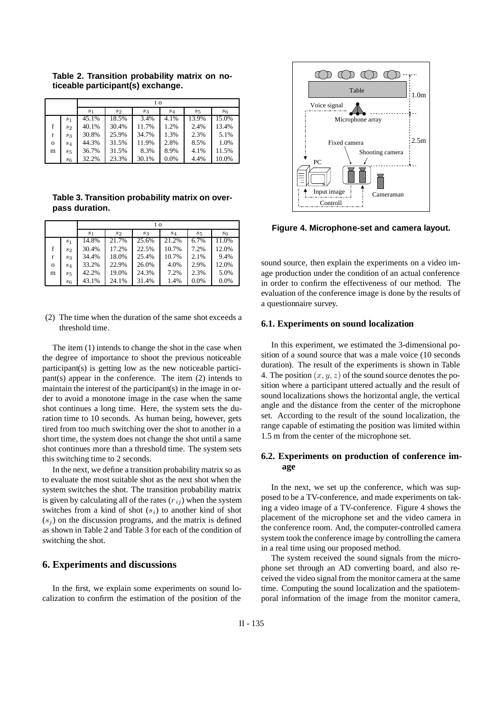|              |                | t o            |                |       |       |         |       |  |  |
|--------------|----------------|----------------|----------------|-------|-------|---------|-------|--|--|
|              |                | S <sub>1</sub> | S <sub>2</sub> | $s_3$ | $s_4$ | $s_{5}$ | $s_6$ |  |  |
|              | s <sub>1</sub> | 45.1%          | 18.5%          | 3.4%  | 4.1%  | 13.9%   | 15.0% |  |  |
|              | $s_2$          | 40.1%          | 30.4%          | 11.7% | 1.2%  | 2.4%    | 13.4% |  |  |
| r            | $s_3$          | 30.8%          | 25.9%          | 34.7% | 1.3%  | 2.3%    | 5.1%  |  |  |
| $\mathbf{O}$ | $s_4$          | 44.3%          | 31.5%          | 11.9% | 2.8%  | 8.5%    | 1.0%  |  |  |
| m            | $s_{5}$        | 36.7%          | 31.5%          | 8.3%  | 8.9%  | 4.1%    | 11.5% |  |  |
|              | $s_6$          | 32.2%          | 23.3%          | 30.1% | 0.0%  | 4.4%    | 10.0% |  |  |

**Table 2. Transition probability matrix on noticeable participant(s) exchange.**

**Table 3. Transition probability matrix on overpass duration.**

|          |                | t o            |       |       |       |         |                |  |  |
|----------|----------------|----------------|-------|-------|-------|---------|----------------|--|--|
|          |                | s <sub>1</sub> | 82    | $s_3$ | $s_4$ | $s_{5}$ | s <sub>6</sub> |  |  |
|          | S <sub>1</sub> | 14.8%          | 21.7% | 25.6% | 21.2% | 6.7%    | 11.0%          |  |  |
|          | $s_2$          | 30.4%          | 17.2% | 22.5% | 10.7% | 7.2%    | 12.0%          |  |  |
| r        | $s_3$          | 34.4%          | 18.0% | 25.4% | 10.7% | 2.1%    | 9.4%           |  |  |
| $\Omega$ | $s_4$          | 33.2%          | 22.9% | 26.0% | 4.0%  | 2.9%    | 12.0%          |  |  |
| m        | $s_{5}$        | 42.2%          | 19.0% | 24.3% | 7.2%  | 2.3%    | 5.0%           |  |  |
|          | $s_6$          | 43.1%          | 24.1% | 31.4% | 1.4%  | $0.0\%$ | 0.0%           |  |  |

(2) The time when the duration of the same shot exceeds a threshold time.

The item (1) intends to change the shot in the case when the degree of importance to shoot the previous noticeable participant(s) is getting low as the new noticeable participant(s) appear in the conference. The item (2) intends to maintain the interest of the participant(s) in the image in order to avoid a monotone image in the case when the same shot continues a long time. Here, the system sets the duration time to 10 seconds. As human being, however, gets tired from too much switching over the shot to another in a short time, the system does not change the shot until a same shot continues more than a threshold time. The system sets this switching time to 2 seconds.

In the next, we define a transition probability matrix so as to evaluate the most suitable shot as the next shot when the system switches the shot. The transition probability matrix is given by calculating all of the rates  $(r_{ij})$  when the system switches from a kind of shot  $(s_i)$  to another kind of shot  $(s<sub>i</sub>)$  on the discussion programs, and the matrix is defined as shown in Table 2 and Table 3 for each of the condition of switching the shot.

### **6. Experiments and discussions**

In the first, we explain some experiments on sound localization to confirm the estimation of the position of the



**Figure 4. Microphone-set and camera layout.**

sound source, then explain the experiments on a video image production under the condition of an actual conference in order to confirm the effectiveness of our method. The evaluation of the conference image is done by the results of a questionnaire survey.

#### **6.1. Experiments on sound localization**

In this experiment, we estimated the 3-dimensional position of a sound source that was a male voice (10 seconds duration). The result of the experiments is shown in Table 4. The position  $(x, y, z)$  of the sound source denotes the position where a participant uttered actually and the result of sound localizations shows the horizontal angle, the vertical angle and the distance from the center of the microphone set. According to the result of the sound localization, the range capable of estimating the position was limited within 1.5 m from the center of the microphone set.

### **6.2. Experiments on production of conference image**

In the next, we set up the conference, which was supposed to be a TV-conference, and made experiments on taking a video image of a TV-conference. Figure 4 shows the placement of the microphone set and the video camera in the conference room. And, the computer-controlled camera system took the conference image by controlling the camera in a real time using our proposed method.

The system received the sound signals from the microphone set through an AD converting board, and also received the video signal from the monitor camera at the same time. Computing the sound localization and the spatiotemporal information of the image from the monitor camera,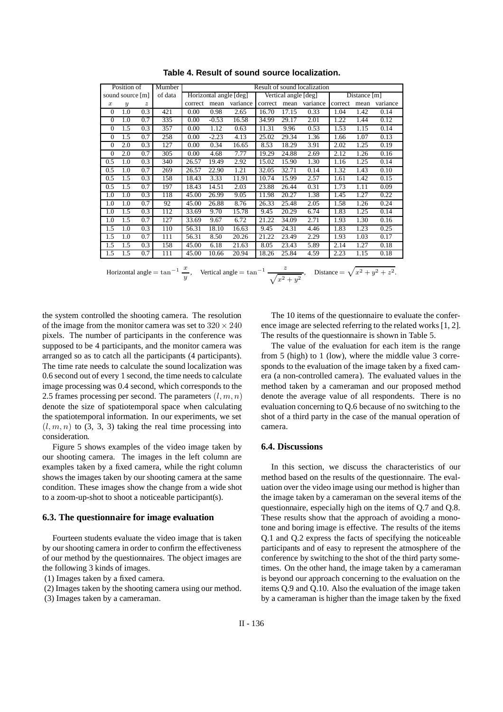| Position of<br>Mumber       |                  | Result of sound localization |     |         |                      |          |         |              |          |         |      |          |
|-----------------------------|------------------|------------------------------|-----|---------|----------------------|----------|---------|--------------|----------|---------|------|----------|
| of data<br>sound source [m] |                  | Horizontal angle [deg]       |     |         | Vertical angle [deg] |          |         | Distance [m] |          |         |      |          |
| $\boldsymbol{x}$            | $\boldsymbol{y}$ | $\boldsymbol{z}$             |     | correct | mean                 | variance | correct | mean         | variance | correct | mean | variance |
| $\Omega$                    | 1.0              | 0.3                          | 421 | 0.00    | 0.98                 | 2.65     | 16.70   | 17.15        | 0.33     | 1.04    | 1.42 | 0.14     |
| $\Omega$                    | 1.0              | 0.7                          | 335 | 0.00    | $-0.53$              | 16.58    | 34.99   | 29.17        | 2.01     | 1.22    | 1.44 | 0.12     |
| $\Omega$                    | 1.5              | 0.3                          | 357 | 0.00    | 1.12                 | 0.63     | 11.31   | 9.96         | 0.53     | 1.53    | 1.15 | 0.14     |
| $\Omega$                    | 1.5              | 0.7                          | 258 | 0.00    | $-2.23$              | 4.13     | 25.02   | 29.34        | 1.36     | 1.66    | 1.07 | 0.13     |
| $\Omega$                    | 2.0              | 0.3                          | 127 | 0.00    | 0.34                 | 16.65    | 8.53    | 18.29        | 3.91     | 2.02    | 1.25 | 0.19     |
| $\Omega$                    | 2.0              | 0.7                          | 305 | 0.00    | 4.68                 | 7.77     | 19.29   | 24.88        | 2.69     | 2.12    | 1.26 | 0.16     |
| 0.5                         | 1.0              | 0.3                          | 340 | 26.57   | 19.49                | 2.92     | 15.02   | 15.90        | 1.30     | 1.16    | 1.25 | 0.14     |
| 0.5                         | 1.0              | 0.7                          | 269 | 26.57   | 22.90                | 1.21     | 32.05   | 32.71        | 0.14     | 1.32    | 1.43 | 0.10     |
| 0.5                         | 1.5              | 0.3                          | 158 | 18.43   | 3.33                 | 11.91    | 10.74   | 15.99        | 2.57     | 1.61    | 1.42 | 0.15     |
| 0.5                         | 1.5              | 0.7                          | 197 | 18.43   | 14.51                | 2.03     | 23.88   | 26.44        | 0.31     | 1.73    | 1.11 | 0.09     |
| 1.0                         | 1.0              | 0.3                          | 118 | 45.00   | 26.99                | 9.05     | 11.98   | 20.27        | 1.38     | 1.45    | 1.27 | 0.22     |
| 1.0                         | 1.0              | 0.7                          | 92  | 45.00   | 26.88                | 8.76     | 26.33   | 25.48        | 2.05     | 1.58    | 1.26 | 0.24     |
| 1.0                         | 1.5              | 0.3                          | 112 | 33.69   | 9.70                 | 15.78    | 9.45    | 20.29        | 6.74     | 1.83    | 1.25 | 0.14     |
| 1.0                         | 1.5              | 0.7                          | 127 | 33.69   | 9.67                 | 6.72     | 21.22   | 34.09        | 2.71     | 1.93    | 1.30 | 0.16     |
| 1.5                         | 1.0              | 0.3                          | 110 | 56.31   | 18.10                | 16.63    | 9.45    | 24.31        | 4.46     | 1.83    | 1.23 | 0.25     |
| 1.5                         | 1.0              | 0.7                          | 111 | 56.31   | 8.50                 | 20.26    | 21.22   | 23.49        | 2.29     | 1.93    | 1.03 | 0.17     |
| 1.5                         | 1.5              | 0.3                          | 158 | 45.00   | 6.18                 | 21.63    | 8.05    | 23.43        | 5.89     | 2.14    | 1.27 | 0.18     |
| 1.5                         | 1.5              | 0.7                          | 111 | 45.00   | 10.66                | 20.94    | 18.26   | 25.84        | 4.59     | 2.23    | 1.15 | 0.18     |
|                             |                  |                              |     |         |                      |          |         |              |          |         |      |          |

**Table 4. Result of sound source localization.**

Horizontal angle = tan<sup>-1</sup>  $\frac{x}{y}$ , Vertical angle = tan<sup>-1</sup>  $\frac{z}{\sqrt{x^2 + y^2}}$ , Distance =  $\sqrt{x^2 + y^2 + z^2}$ .

the system controlled the shooting camera. The resolution of the image from the monitor camera was set to 320 *<sup>×</sup>* 240 pixels. The number of participants in the conference was supposed to be 4 participants, and the monitor camera was arranged so as to catch all the participants (4 participants). The time rate needs to calculate the sound localization was 0.6 second out of every 1 second, the time needs to calculate image processing was 0.4 second, which corresponds to the 2.5 frames processing per second. The parameters  $(l, m, n)$ denote the size of spatiotemporal space when calculating the spatiotemporal information. In our experiments, we set  $(l, m, n)$  to  $(3, 3, 3)$  taking the real time processing into consideration.

Figure 5 shows examples of the video image taken by our shooting camera. The images in the left column are examples taken by a fixed camera, while the right column shows the images taken by our shooting camera at the same condition. These images show the change from a wide shot to a zoom-up-shot to shoot a noticeable participant(s).

# **6.3. The questionnaire for image evaluation**

Fourteen students evaluate the video image that is taken by our shooting camera in order to confirm the effectiveness of our method by the questionnaires. The object images are the following 3 kinds of images.

(1) Images taken by a fixed camera.

(2) Images taken by the shooting camera using our method.

(3) Images taken by a cameraman.

The 10 items of the questionnaire to evaluate the conference image are selected referring to the related works [1, 2]. The results of the questionnaire is shown in Table 5.

The value of the evaluation for each item is the range from 5 (high) to 1 (low), where the middle value 3 corresponds to the evaluation of the image taken by a fixed camera (a non-controlled camera). The evaluated values in the method taken by a cameraman and our proposed method denote the average value of all respondents. There is no evaluation concerning to Q.6 because of no switching to the shot of a third party in the case of the manual operation of camera.

### **6.4. Discussions**

In this section, we discuss the characteristics of our method based on the results of the questionnaire. The evaluation over the video image using our method is higher than the image taken by a cameraman on the several items of the questionnaire, especially high on the items of Q.7 and Q.8. These results show that the approach of avoiding a monotone and boring image is effective. The results of the items Q.1 and Q.2 express the facts of specifying the noticeable participants and of easy to represent the atmosphere of the conference by switching to the shot of the third party sometimes. On the other hand, the image taken by a cameraman is beyond our approach concerning to the evaluation on the items Q.9 and Q.10. Also the evaluation of the image taken by a cameraman is higher than the image taken by the fixed